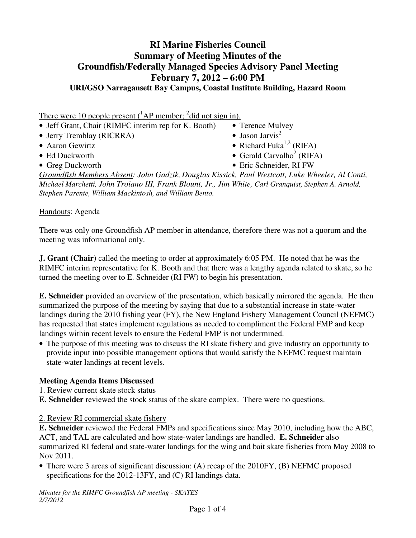# **RI Marine Fisheries Council Summary of Meeting Minutes of the Groundfish/Federally Managed Species Advisory Panel Meeting February 7, 2012 – 6:00 PM URI/GSO Narragansett Bay Campus, Coastal Institute Building, Hazard Room**

There were 10 people present  $({}^{1}AP$  member;  ${}^{2}$ did not sign in).

- Jeff Grant, Chair (RIMFC interim rep for K. Booth) Terence Mulvey • Jerry Tremblay (RICRRA) • Jason Jarvis<sup>2</sup> • Aaron Gewirtz • Richard Fuka<sup>1,2</sup> (RIFA)
- 
- 
- Ed Duckworth Gerald Carvalho<sup>2</sup> (RIFA)
- Greg Duckworth Eric Schneider, RI FW

*Groundfish Members Absent: John Gadzik, Douglas Kissick, Paul Westcott, Luke Wheeler, Al Conti, Michael Marchetti, John Troiano III, Frank Blount, Jr., Jim White, Carl Granquist, Stephen A. Arnold, Stephen Parente, William Mackintosh, and William Bento.*

Handouts: Agenda

There was only one Groundfish AP member in attendance, therefore there was not a quorum and the meeting was informational only.

**J. Grant (Chair)** called the meeting to order at approximately 6:05 PM. He noted that he was the RIMFC interim representative for K. Booth and that there was a lengthy agenda related to skate, so he turned the meeting over to E. Schneider (RI FW) to begin his presentation.

**E. Schneider** provided an overview of the presentation, which basically mirrored the agenda. He then summarized the purpose of the meeting by saying that due to a substantial increase in state-water landings during the 2010 fishing year (FY), the New England Fishery Management Council (NEFMC) has requested that states implement regulations as needed to compliment the Federal FMP and keep landings within recent levels to ensure the Federal FMP is not undermined.

• The purpose of this meeting was to discuss the RI skate fishery and give industry an opportunity to provide input into possible management options that would satisfy the NEFMC request maintain state-water landings at recent levels.

#### **Meeting Agenda Items Discussed**

1. Review current skate stock status

**E. Schneider** reviewed the stock status of the skate complex. There were no questions.

2. Review RI commercial skate fishery

**E. Schneider** reviewed the Federal FMPs and specifications since May 2010, including how the ABC, ACT, and TAL are calculated and how state-water landings are handled. **E. Schneider** also summarized RI federal and state-water landings for the wing and bait skate fisheries from May 2008 to Nov 2011.

• There were 3 areas of significant discussion: (A) recap of the 2010FY, (B) NEFMC proposed specifications for the 2012-13FY, and (C) RI landings data.

*Minutes for the RIMFC Groundfish AP meeting - SKATES 2/7/2012*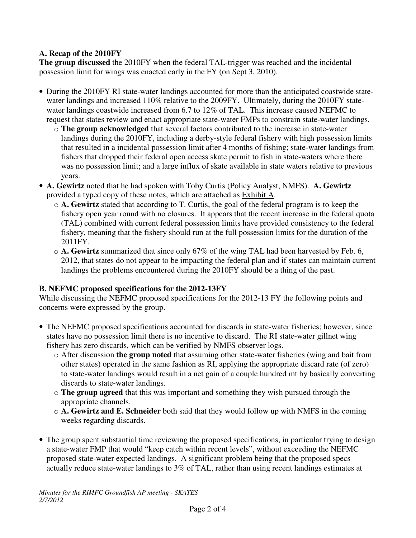### **A. Recap of the 2010FY**

**The group discussed** the 2010FY when the federal TAL-trigger was reached and the incidental possession limit for wings was enacted early in the FY (on Sept 3, 2010).

- During the 2010FY RI state-water landings accounted for more than the anticipated coastwide statewater landings and increased 110% relative to the 2009FY. Ultimately, during the 2010FY statewater landings coastwide increased from 6.7 to 12% of TAL. This increase caused NEFMC to request that states review and enact appropriate state-water FMPs to constrain state-water landings.
	- o **The group acknowledged** that several factors contributed to the increase in state-water landings during the 2010FY, including a derby-style federal fishery with high possession limits that resulted in a incidental possession limit after 4 months of fishing; state-water landings from fishers that dropped their federal open access skate permit to fish in state-waters where there was no possession limit; and a large influx of skate available in state waters relative to previous years.
- **A. Gewirtz** noted that he had spoken with Toby Curtis (Policy Analyst, NMFS). **A. Gewirtz** provided a typed copy of these notes, which are attached as Exhibit A.
	- o **A. Gewirtz** stated that according to T. Curtis, the goal of the federal program is to keep the fishery open year round with no closures. It appears that the recent increase in the federal quota (TAL) combined with current federal possession limits have provided consistency to the federal fishery, meaning that the fishery should run at the full possession limits for the duration of the 2011FY.
	- o **A. Gewirtz** summarized that since only 67% of the wing TAL had been harvested by Feb. 6, 2012, that states do not appear to be impacting the federal plan and if states can maintain current landings the problems encountered during the 2010FY should be a thing of the past.

## **B. NEFMC proposed specifications for the 2012-13FY**

While discussing the NEFMC proposed specifications for the 2012-13 FY the following points and concerns were expressed by the group.

- The NEFMC proposed specifications accounted for discards in state-water fisheries; however, since states have no possession limit there is no incentive to discard. The RI state-water gillnet wing fishery has zero discards, which can be verified by NMFS observer logs.
	- o After discussion **the group noted** that assuming other state-water fisheries (wing and bait from other states) operated in the same fashion as RI, applying the appropriate discard rate (of zero) to state-water landings would result in a net gain of a couple hundred mt by basically converting discards to state-water landings.
	- o **The group agreed** that this was important and something they wish pursued through the appropriate channels.
	- o **A. Gewirtz and E. Schneider** both said that they would follow up with NMFS in the coming weeks regarding discards.
- The group spent substantial time reviewing the proposed specifications, in particular trying to design a state-water FMP that would "keep catch within recent levels", without exceeding the NEFMC proposed state-water expected landings. A significant problem being that the proposed specs actually reduce state-water landings to 3% of TAL, rather than using recent landings estimates at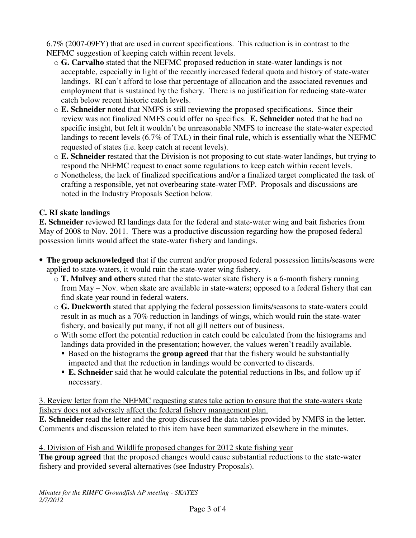6.7% (2007-09FY) that are used in current specifications. This reduction is in contrast to the NEFMC suggestion of keeping catch within recent levels.

- o **G. Carvalho** stated that the NEFMC proposed reduction in state-water landings is not acceptable, especially in light of the recently increased federal quota and history of state-water landings. RI can't afford to lose that percentage of allocation and the associated revenues and employment that is sustained by the fishery. There is no justification for reducing state-water catch below recent historic catch levels.
- o **E. Schneider** noted that NMFS is still reviewing the proposed specifications. Since their review was not finalized NMFS could offer no specifics. **E. Schneider** noted that he had no specific insight, but felt it wouldn't be unreasonable NMFS to increase the state-water expected landings to recent levels (6.7% of TAL) in their final rule, which is essentially what the NEFMC requested of states (i.e. keep catch at recent levels).
- o **E. Schneider** restated that the Division is not proposing to cut state-water landings, but trying to respond the NEFMC request to enact some regulations to keep catch within recent levels.
- o Nonetheless, the lack of finalized specifications and/or a finalized target complicated the task of crafting a responsible, yet not overbearing state-water FMP. Proposals and discussions are noted in the Industry Proposals Section below.

# **C. RI skate landings**

**E. Schneider** reviewed RI landings data for the federal and state-water wing and bait fisheries from May of 2008 to Nov. 2011. There was a productive discussion regarding how the proposed federal possession limits would affect the state-water fishery and landings.

- **The group acknowledged** that if the current and/or proposed federal possession limits/seasons were applied to state-waters, it would ruin the state-water wing fishery.
	- o **T. Mulvey and others** stated that the state-water skate fishery is a 6-month fishery running from May – Nov. when skate are available in state-waters; opposed to a federal fishery that can find skate year round in federal waters.
	- o **G. Duckworth** stated that applying the federal possession limits/seasons to state-waters could result in as much as a 70% reduction in landings of wings, which would ruin the state-water fishery, and basically put many, if not all gill netters out of business.
	- o With some effort the potential reduction in catch could be calculated from the histograms and landings data provided in the presentation; however, the values weren't readily available.
		- **Based on the histograms the group agreed** that that the fishery would be substantially impacted and that the reduction in landings would be converted to discards.
		- **E. Schneider** said that he would calculate the potential reductions in lbs, and follow up if necessary.

3. Review letter from the NEFMC requesting states take action to ensure that the state-waters skate fishery does not adversely affect the federal fishery management plan.

**E. Schneider** read the letter and the group discussed the data tables provided by NMFS in the letter. Comments and discussion related to this item have been summarized elsewhere in the minutes.

4. Division of Fish and Wildlife proposed changes for 2012 skate fishing year

**The group agreed** that the proposed changes would cause substantial reductions to the state-water fishery and provided several alternatives (see Industry Proposals).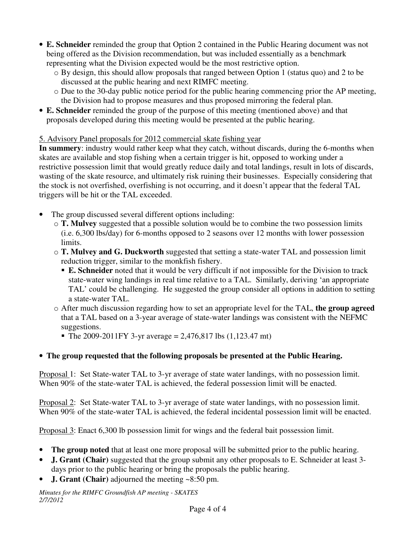- **E. Schneider** reminded the group that Option 2 contained in the Public Hearing document was not being offered as the Division recommendation, but was included essentially as a benchmark representing what the Division expected would be the most restrictive option.
	- o By design, this should allow proposals that ranged between Option 1 (status quo) and 2 to be discussed at the public hearing and next RIMFC meeting.
	- o Due to the 30-day public notice period for the public hearing commencing prior the AP meeting, the Division had to propose measures and thus proposed mirroring the federal plan.
- **E. Schneider** reminded the group of the purpose of this meeting (mentioned above) and that proposals developed during this meeting would be presented at the public hearing.

## 5. Advisory Panel proposals for 2012 commercial skate fishing year

**In summery**: industry would rather keep what they catch, without discards, during the 6-months when skates are available and stop fishing when a certain trigger is hit, opposed to working under a restrictive possession limit that would greatly reduce daily and total landings, result in lots of discards, wasting of the skate resource, and ultimately risk ruining their businesses. Especially considering that the stock is not overfished, overfishing is not occurring, and it doesn't appear that the federal TAL triggers will be hit or the TAL exceeded.

- The group discussed several different options including:
	- o **T. Mulvey** suggested that a possible solution would be to combine the two possession limits (i.e. 6,300 lbs/day) for 6-months opposed to 2 seasons over 12 months with lower possession limits.
	- o **T. Mulvey and G. Duckworth** suggested that setting a state-water TAL and possession limit reduction trigger, similar to the monkfish fishery.
		- **E. Schneider** noted that it would be very difficult if not impossible for the Division to track state-water wing landings in real time relative to a TAL. Similarly, deriving 'an appropriate TAL' could be challenging. He suggested the group consider all options in addition to setting a state-water TAL.
	- o After much discussion regarding how to set an appropriate level for the TAL, **the group agreed** that a TAL based on a 3-year average of state-water landings was consistent with the NEFMC suggestions.
		- The 2009-2011FY 3-yr average = 2,476,817 lbs  $(1,123.47 \text{ mt})$

# • **The group requested that the following proposals be presented at the Public Hearing.**

Proposal 1: Set State-water TAL to 3-yr average of state water landings, with no possession limit. When 90% of the state-water TAL is achieved, the federal possession limit will be enacted.

Proposal 2: Set State-water TAL to 3-yr average of state water landings, with no possession limit. When 90% of the state-water TAL is achieved, the federal incidental possession limit will be enacted.

Proposal 3: Enact 6,300 lb possession limit for wings and the federal bait possession limit.

- **The group noted** that at least one more proposal will be submitted prior to the public hearing.
- **J. Grant (Chair)** suggested that the group submit any other proposals to E. Schneider at least 3 days prior to the public hearing or bring the proposals the public hearing.
- **J. Grant (Chair)** adjourned the meeting ~8:50 pm.